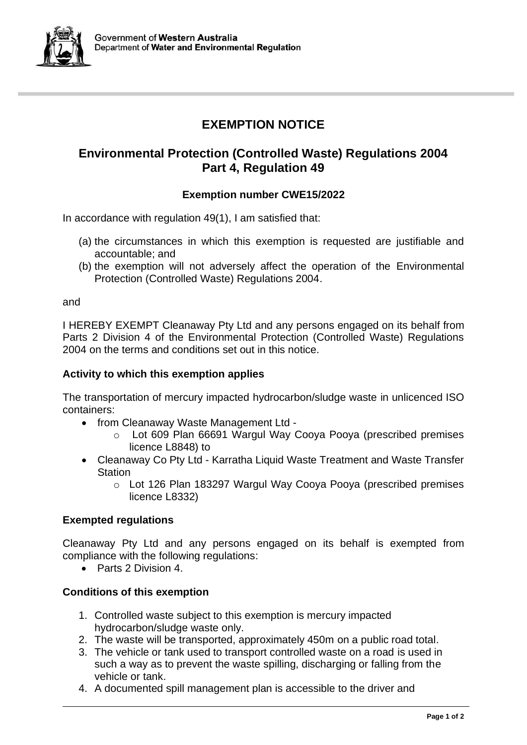

# **EXEMPTION NOTICE**

# **Environmental Protection (Controlled Waste) Regulations 2004 Part 4, Regulation 49**

## **Exemption number CWE15/2022**

In accordance with regulation 49(1), I am satisfied that:

- (a) the circumstances in which this exemption is requested are justifiable and accountable; and
- (b) the exemption will not adversely affect the operation of the Environmental Protection (Controlled Waste) Regulations 2004.

and

I HEREBY EXEMPT Cleanaway Pty Ltd and any persons engaged on its behalf from Parts 2 Division 4 of the Environmental Protection (Controlled Waste) Regulations 2004 on the terms and conditions set out in this notice.

#### **Activity to which this exemption applies**

The transportation of mercury impacted hydrocarbon/sludge waste in unlicenced ISO containers:

- from Cleanaway Waste Management Ltd
	- o Lot 609 Plan 66691 Wargul Way Cooya Pooya (prescribed premises licence L8848) to
- Cleanaway Co Pty Ltd Karratha Liquid Waste Treatment and Waste Transfer **Station** 
	- o Lot 126 Plan 183297 Wargul Way Cooya Pooya (prescribed premises licence L8332)

### **Exempted regulations**

Cleanaway Pty Ltd and any persons engaged on its behalf is exempted from compliance with the following regulations:

• Parts 2 Division 4

### **Conditions of this exemption**

- 1. Controlled waste subject to this exemption is mercury impacted hydrocarbon/sludge waste only.
- 2. The waste will be transported, approximately 450m on a public road total.
- 3. The vehicle or tank used to transport controlled waste on a road is used in such a way as to prevent the waste spilling, discharging or falling from the vehicle or tank.
- 4. A documented spill management plan is accessible to the driver and